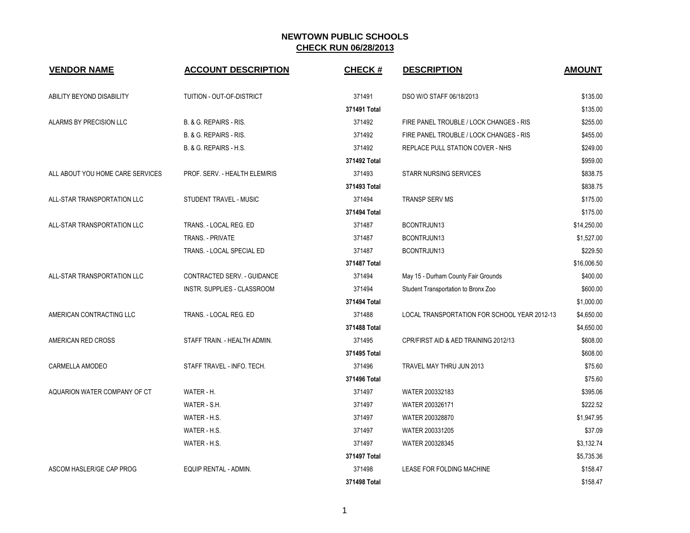| <b>VENDOR NAME</b>               | <b>ACCOUNT DESCRIPTION</b>    | <b>CHECK#</b> | <b>DESCRIPTION</b>                           | <b>AMOUNT</b> |
|----------------------------------|-------------------------------|---------------|----------------------------------------------|---------------|
| ABILITY BEYOND DISABILITY        | TUITION - OUT-OF-DISTRICT     | 371491        | DSO W/O STAFF 06/18/2013                     | \$135.00      |
|                                  |                               | 371491 Total  |                                              | \$135.00      |
| ALARMS BY PRECISION LLC          | B. & G. REPAIRS - RIS.        | 371492        | FIRE PANEL TROUBLE / LOCK CHANGES - RIS      | \$255.00      |
|                                  | B. & G. REPAIRS - RIS.        | 371492        | FIRE PANEL TROUBLE / LOCK CHANGES - RIS      | \$455.00      |
|                                  | B. & G. REPAIRS - H.S.        | 371492        | REPLACE PULL STATION COVER - NHS             | \$249.00      |
|                                  |                               | 371492 Total  |                                              | \$959.00      |
| ALL ABOUT YOU HOME CARE SERVICES | PROF. SERV. - HEALTH ELEM/RIS | 371493        | <b>STARR NURSING SERVICES</b>                | \$838.75      |
|                                  |                               | 371493 Total  |                                              | \$838.75      |
| ALL-STAR TRANSPORTATION LLC      | STUDENT TRAVEL - MUSIC        | 371494        | <b>TRANSP SERV MS</b>                        | \$175.00      |
|                                  |                               | 371494 Total  |                                              | \$175.00      |
| ALL-STAR TRANSPORTATION LLC      | TRANS. - LOCAL REG. ED        | 371487        | BCONTRJUN13                                  | \$14,250.00   |
|                                  | <b>TRANS. - PRIVATE</b>       | 371487        | BCONTRJUN13                                  | \$1,527.00    |
|                                  | TRANS. - LOCAL SPECIAL ED     | 371487        | BCONTRJUN13                                  | \$229.50      |
|                                  |                               | 371487 Total  |                                              | \$16,006.50   |
| ALL-STAR TRANSPORTATION LLC      | CONTRACTED SERV. - GUIDANCE   | 371494        | May 15 - Durham County Fair Grounds          | \$400.00      |
|                                  | INSTR. SUPPLIES - CLASSROOM   | 371494        | Student Transportation to Bronx Zoo          | \$600.00      |
|                                  |                               | 371494 Total  |                                              | \$1,000.00    |
| AMERICAN CONTRACTING LLC         | TRANS. - LOCAL REG. ED        | 371488        | LOCAL TRANSPORTATION FOR SCHOOL YEAR 2012-13 | \$4,650.00    |
|                                  |                               | 371488 Total  |                                              | \$4,650.00    |
| AMERICAN RED CROSS               | STAFF TRAIN. - HEALTH ADMIN.  | 371495        | CPR/FIRST AID & AED TRAINING 2012/13         | \$608.00      |
|                                  |                               | 371495 Total  |                                              | \$608.00      |
| CARMELLA AMODEO                  | STAFF TRAVEL - INFO. TECH.    | 371496        | TRAVEL MAY THRU JUN 2013                     | \$75.60       |
|                                  |                               | 371496 Total  |                                              | \$75.60       |
| AQUARION WATER COMPANY OF CT     | WATER - H.                    | 371497        | WATER 200332183                              | \$395.06      |
|                                  | WATER - S.H.                  | 371497        | WATER 200326171                              | \$222.52      |
|                                  | WATER - H.S.                  | 371497        | WATER 200328870                              | \$1,947.95    |
|                                  | WATER - H.S.                  | 371497        | WATER 200331205                              | \$37.09       |
|                                  | WATER - H.S.                  | 371497        | WATER 200328345                              | \$3,132.74    |
|                                  |                               | 371497 Total  |                                              | \$5,735.36    |
| ASCOM HASLER/GE CAP PROG         | EQUIP RENTAL - ADMIN.         | 371498        | LEASE FOR FOLDING MACHINE                    | \$158.47      |
|                                  |                               | 371498 Total  |                                              | \$158.47      |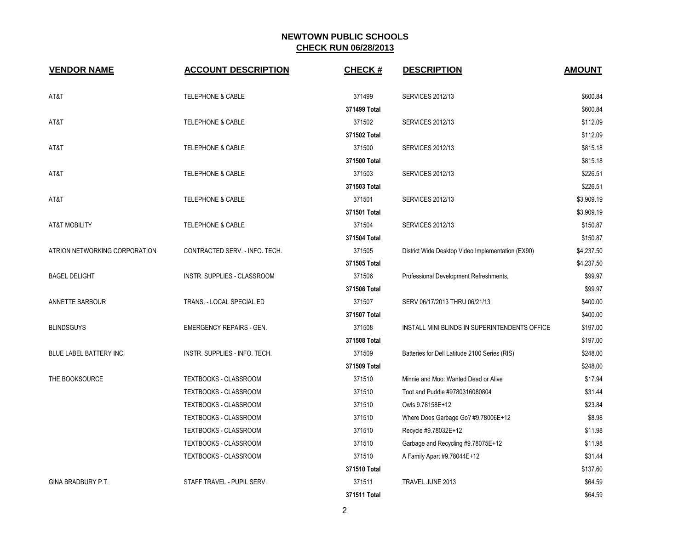| <b>VENDOR NAME</b>            | <b>ACCOUNT DESCRIPTION</b>      | <b>CHECK#</b> | <b>DESCRIPTION</b>                                | <b>AMOUNT</b> |
|-------------------------------|---------------------------------|---------------|---------------------------------------------------|---------------|
| AT&T                          | <b>TELEPHONE &amp; CABLE</b>    | 371499        | <b>SERVICES 2012/13</b>                           | \$600.84      |
|                               |                                 | 371499 Total  |                                                   | \$600.84      |
| AT&T                          | <b>TELEPHONE &amp; CABLE</b>    | 371502        | <b>SERVICES 2012/13</b>                           | \$112.09      |
|                               |                                 | 371502 Total  |                                                   | \$112.09      |
| AT&T                          | <b>TELEPHONE &amp; CABLE</b>    | 371500        | <b>SERVICES 2012/13</b>                           | \$815.18      |
|                               |                                 | 371500 Total  |                                                   | \$815.18      |
| AT&T                          | <b>TELEPHONE &amp; CABLE</b>    | 371503        | <b>SERVICES 2012/13</b>                           | \$226.51      |
|                               |                                 | 371503 Total  |                                                   | \$226.51      |
| AT&T                          | <b>TELEPHONE &amp; CABLE</b>    | 371501        | <b>SERVICES 2012/13</b>                           | \$3,909.19    |
|                               |                                 | 371501 Total  |                                                   | \$3,909.19    |
| <b>AT&amp;T MOBILITY</b>      | <b>TELEPHONE &amp; CABLE</b>    | 371504        | <b>SERVICES 2012/13</b>                           | \$150.87      |
|                               |                                 | 371504 Total  |                                                   | \$150.87      |
| ATRION NETWORKING CORPORATION | CONTRACTED SERV. - INFO. TECH.  | 371505        | District Wide Desktop Video Implementation (EX90) | \$4,237.50    |
|                               |                                 | 371505 Total  |                                                   | \$4,237.50    |
| <b>BAGEL DELIGHT</b>          | INSTR. SUPPLIES - CLASSROOM     | 371506        | Professional Development Refreshments,            | \$99.97       |
|                               |                                 | 371506 Total  |                                                   | \$99.97       |
| ANNETTE BARBOUR               | TRANS. - LOCAL SPECIAL ED       | 371507        | SERV 06/17/2013 THRU 06/21/13                     | \$400.00      |
|                               |                                 | 371507 Total  |                                                   | \$400.00      |
| <b>BLINDSGUYS</b>             | <b>EMERGENCY REPAIRS - GEN.</b> | 371508        | INSTALL MINI BLINDS IN SUPERINTENDENTS OFFICE     | \$197.00      |
|                               |                                 | 371508 Total  |                                                   | \$197.00      |
| BLUE LABEL BATTERY INC.       | INSTR. SUPPLIES - INFO. TECH.   | 371509        | Batteries for Dell Latitude 2100 Series (RIS)     | \$248.00      |
|                               |                                 | 371509 Total  |                                                   | \$248.00      |
| THE BOOKSOURCE                | TEXTBOOKS - CLASSROOM           | 371510        | Minnie and Moo: Wanted Dead or Alive              | \$17.94       |
|                               | TEXTBOOKS - CLASSROOM           | 371510        | Toot and Puddle #9780316080804                    | \$31.44       |
|                               | TEXTBOOKS - CLASSROOM           | 371510        | Owls 9.78158E+12                                  | \$23.84       |
|                               | TEXTBOOKS - CLASSROOM           | 371510        | Where Does Garbage Go? #9.78006E+12               | \$8.98        |
|                               | TEXTBOOKS - CLASSROOM           | 371510        | Recycle #9.78032E+12                              | \$11.98       |
|                               | <b>TEXTBOOKS - CLASSROOM</b>    | 371510        | Garbage and Recycling #9.78075E+12                | \$11.98       |
|                               | TEXTBOOKS - CLASSROOM           | 371510        | A Family Apart #9.78044E+12                       | \$31.44       |
|                               |                                 | 371510 Total  |                                                   | \$137.60      |
| GINA BRADBURY P.T.            | STAFF TRAVEL - PUPIL SERV.      | 371511        | TRAVEL JUNE 2013                                  | \$64.59       |
|                               |                                 | 371511 Total  |                                                   | \$64.59       |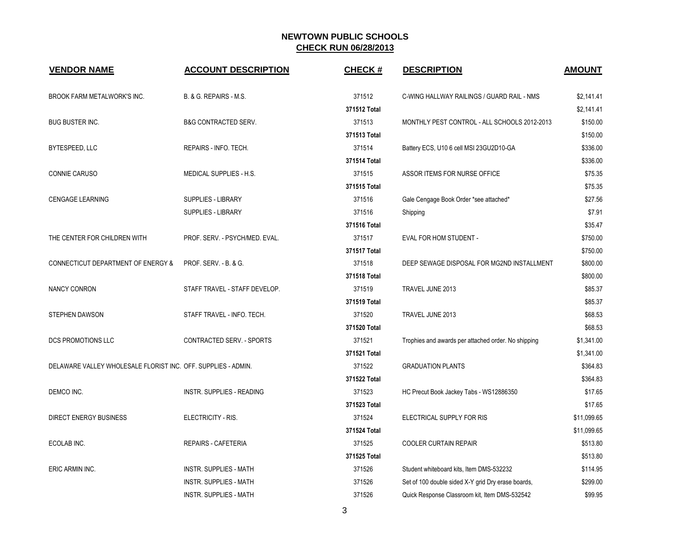| <b>VENDOR NAME</b>                                            | <b>ACCOUNT DESCRIPTION</b>      | <b>CHECK#</b> | <b>DESCRIPTION</b>                                  | <b>AMOUNT</b> |
|---------------------------------------------------------------|---------------------------------|---------------|-----------------------------------------------------|---------------|
| <b>BROOK FARM METALWORK'S INC.</b>                            | B. & G. REPAIRS - M.S.          | 371512        | C-WING HALLWAY RAILINGS / GUARD RAIL - NMS          | \$2,141.41    |
|                                                               |                                 | 371512 Total  |                                                     | \$2,141.41    |
| <b>BUG BUSTER INC.</b>                                        | <b>B&amp;G CONTRACTED SERV.</b> | 371513        | MONTHLY PEST CONTROL - ALL SCHOOLS 2012-2013        | \$150.00      |
|                                                               |                                 | 371513 Total  |                                                     | \$150.00      |
| BYTESPEED, LLC                                                | REPAIRS - INFO. TECH.           | 371514        | Battery ECS, U10 6 cell MSI 23GU2D10-GA             | \$336.00      |
|                                                               |                                 | 371514 Total  |                                                     | \$336.00      |
| CONNIE CARUSO                                                 | MEDICAL SUPPLIES - H.S.         | 371515        | ASSOR ITEMS FOR NURSE OFFICE                        | \$75.35       |
|                                                               |                                 | 371515 Total  |                                                     | \$75.35       |
| <b>CENGAGE LEARNING</b>                                       | <b>SUPPLIES - LIBRARY</b>       | 371516        | Gale Cengage Book Order *see attached*              | \$27.56       |
|                                                               | <b>SUPPLIES - LIBRARY</b>       | 371516        | Shipping                                            | \$7.91        |
|                                                               |                                 | 371516 Total  |                                                     | \$35.47       |
| THE CENTER FOR CHILDREN WITH                                  | PROF. SERV. - PSYCH/MED. EVAL.  | 371517        | EVAL FOR HOM STUDENT -                              | \$750.00      |
|                                                               |                                 | 371517 Total  |                                                     | \$750.00      |
| <b>CONNECTICUT DEPARTMENT OF ENERGY &amp;</b>                 | PROF. SERV. - B. & G.           | 371518        | DEEP SEWAGE DISPOSAL FOR MG2ND INSTALLMENT          | \$800.00      |
|                                                               |                                 | 371518 Total  |                                                     | \$800.00      |
| <b>NANCY CONRON</b>                                           | STAFF TRAVEL - STAFF DEVELOP.   | 371519        | TRAVEL JUNE 2013                                    | \$85.37       |
|                                                               |                                 | 371519 Total  |                                                     | \$85.37       |
| <b>STEPHEN DAWSON</b>                                         | STAFF TRAVEL - INFO. TECH.      | 371520        | TRAVEL JUNE 2013                                    | \$68.53       |
|                                                               |                                 | 371520 Total  |                                                     | \$68.53       |
| <b>DCS PROMOTIONS LLC</b>                                     | CONTRACTED SERV. - SPORTS       | 371521        | Trophies and awards per attached order. No shipping | \$1,341.00    |
|                                                               |                                 | 371521 Total  |                                                     | \$1,341.00    |
| DELAWARE VALLEY WHOLESALE FLORIST INC. OFF. SUPPLIES - ADMIN. |                                 | 371522        | <b>GRADUATION PLANTS</b>                            | \$364.83      |
|                                                               |                                 | 371522 Total  |                                                     | \$364.83      |
| DEMCO INC.                                                    | INSTR. SUPPLIES - READING       | 371523        | HC Precut Book Jackey Tabs - WS12886350             | \$17.65       |
|                                                               |                                 | 371523 Total  |                                                     | \$17.65       |
| <b>DIRECT ENERGY BUSINESS</b>                                 | ELECTRICITY - RIS.              | 371524        | ELECTRICAL SUPPLY FOR RIS                           | \$11,099.65   |
|                                                               |                                 | 371524 Total  |                                                     | \$11,099.65   |
| ECOLAB INC.                                                   | <b>REPAIRS - CAFETERIA</b>      | 371525        | COOLER CURTAIN REPAIR                               | \$513.80      |
|                                                               |                                 | 371525 Total  |                                                     | \$513.80      |
| ERIC ARMIN INC.                                               | <b>INSTR. SUPPLIES - MATH</b>   | 371526        | Student whiteboard kits, Item DMS-532232            | \$114.95      |
|                                                               | INSTR. SUPPLIES - MATH          | 371526        | Set of 100 double sided X-Y grid Dry erase boards,  | \$299.00      |
|                                                               | <b>INSTR. SUPPLIES - MATH</b>   | 371526        | Quick Response Classroom kit, Item DMS-532542       | \$99.95       |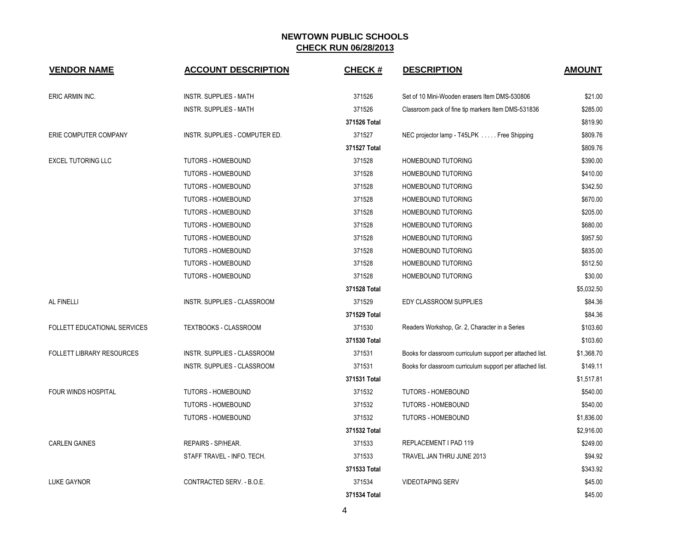| <b>VENDOR NAME</b>               | <b>ACCOUNT DESCRIPTION</b>     | <b>CHECK#</b> | <b>DESCRIPTION</b>                                        | <b>AMOUNT</b> |
|----------------------------------|--------------------------------|---------------|-----------------------------------------------------------|---------------|
| ERIC ARMIN INC.                  | <b>INSTR. SUPPLIES - MATH</b>  | 371526        | Set of 10 Mini-Wooden erasers Item DMS-530806             | \$21.00       |
|                                  | <b>INSTR. SUPPLIES - MATH</b>  | 371526        | Classroom pack of fine tip markers Item DMS-531836        | \$285.00      |
|                                  |                                | 371526 Total  |                                                           | \$819.90      |
| ERIE COMPUTER COMPANY            | INSTR. SUPPLIES - COMPUTER ED. | 371527        | NEC projector lamp - T45LPK Free Shipping                 | \$809.76      |
|                                  |                                | 371527 Total  |                                                           | \$809.76      |
| <b>EXCEL TUTORING LLC</b>        | <b>TUTORS - HOMEBOUND</b>      | 371528        | HOMEBOUND TUTORING                                        | \$390.00      |
|                                  | <b>TUTORS - HOMEBOUND</b>      | 371528        | <b>HOMEBOUND TUTORING</b>                                 | \$410.00      |
|                                  | <b>TUTORS - HOMEBOUND</b>      | 371528        | HOMEBOUND TUTORING                                        | \$342.50      |
|                                  | <b>TUTORS - HOMEBOUND</b>      | 371528        | HOMEBOUND TUTORING                                        | \$670.00      |
|                                  | <b>TUTORS - HOMEBOUND</b>      | 371528        | <b>HOMEBOUND TUTORING</b>                                 | \$205.00      |
|                                  | <b>TUTORS - HOMEBOUND</b>      | 371528        | <b>HOMEBOUND TUTORING</b>                                 | \$680.00      |
|                                  | <b>TUTORS - HOMEBOUND</b>      | 371528        | HOMEBOUND TUTORING                                        | \$957.50      |
|                                  | <b>TUTORS - HOMEBOUND</b>      | 371528        | HOMEBOUND TUTORING                                        | \$835.00      |
|                                  | TUTORS - HOMEBOUND             | 371528        | HOMEBOUND TUTORING                                        | \$512.50      |
|                                  | <b>TUTORS - HOMEBOUND</b>      | 371528        | HOMEBOUND TUTORING                                        | \$30.00       |
|                                  |                                | 371528 Total  |                                                           | \$5,032.50    |
| AL FINELLI                       | INSTR. SUPPLIES - CLASSROOM    | 371529        | EDY CLASSROOM SUPPLIES                                    | \$84.36       |
|                                  |                                | 371529 Total  |                                                           | \$84.36       |
| FOLLETT EDUCATIONAL SERVICES     | TEXTBOOKS - CLASSROOM          | 371530        | Readers Workshop, Gr. 2, Character in a Series            | \$103.60      |
|                                  |                                | 371530 Total  |                                                           | \$103.60      |
| <b>FOLLETT LIBRARY RESOURCES</b> | INSTR. SUPPLIES - CLASSROOM    | 371531        | Books for classroom curriculum support per attached list. | \$1,368.70    |
|                                  | INSTR. SUPPLIES - CLASSROOM    | 371531        | Books for classroom curriculum support per attached list. | \$149.11      |
|                                  |                                | 371531 Total  |                                                           | \$1,517.81    |
| <b>FOUR WINDS HOSPITAL</b>       | <b>TUTORS - HOMEBOUND</b>      | 371532        | TUTORS - HOMEBOUND                                        | \$540.00      |
|                                  | <b>TUTORS - HOMEBOUND</b>      | 371532        | <b>TUTORS - HOMEBOUND</b>                                 | \$540.00      |
|                                  | TUTORS - HOMEBOUND             | 371532        | <b>TUTORS - HOMEBOUND</b>                                 | \$1,836.00    |
|                                  |                                | 371532 Total  |                                                           | \$2,916.00    |
| <b>CARLEN GAINES</b>             | REPAIRS - SP/HEAR.             | 371533        | REPLACEMENT I PAD 119                                     | \$249.00      |
|                                  | STAFF TRAVEL - INFO. TECH.     | 371533        | TRAVEL JAN THRU JUNE 2013                                 | \$94.92       |
|                                  |                                | 371533 Total  |                                                           | \$343.92      |
| <b>LUKE GAYNOR</b>               | CONTRACTED SERV. - B.O.E.      | 371534        | <b>VIDEOTAPING SERV</b>                                   | \$45.00       |
|                                  |                                | 371534 Total  |                                                           | \$45.00       |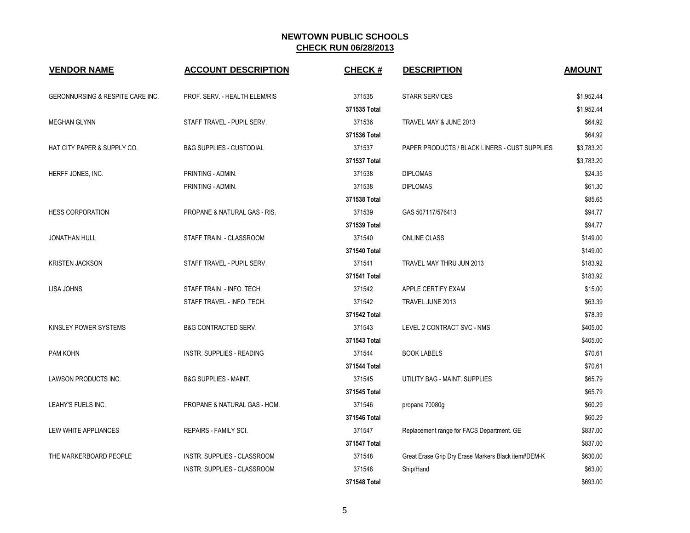| <b>VENDOR NAME</b>                          | <b>ACCOUNT DESCRIPTION</b>              | <b>CHECK#</b> | <b>DESCRIPTION</b>                                  | <b>AMOUNT</b> |
|---------------------------------------------|-----------------------------------------|---------------|-----------------------------------------------------|---------------|
| <b>GERONNURSING &amp; RESPITE CARE INC.</b> | PROF. SERV. - HEALTH ELEM/RIS           | 371535        | <b>STARR SERVICES</b>                               | \$1,952.44    |
|                                             |                                         | 371535 Total  |                                                     | \$1,952.44    |
| <b>MEGHAN GLYNN</b>                         | STAFF TRAVEL - PUPIL SERV.              | 371536        | TRAVEL MAY & JUNE 2013                              | \$64.92       |
|                                             |                                         | 371536 Total  |                                                     | \$64.92       |
| HAT CITY PAPER & SUPPLY CO.                 | <b>B&amp;G SUPPLIES - CUSTODIAL</b>     | 371537        | PAPER PRODUCTS / BLACK LINERS - CUST SUPPLIES       | \$3,783.20    |
|                                             |                                         | 371537 Total  |                                                     | \$3,783.20    |
| HERFF JONES, INC.                           | PRINTING - ADMIN.                       | 371538        | <b>DIPLOMAS</b>                                     | \$24.35       |
|                                             | PRINTING - ADMIN.                       | 371538        | <b>DIPLOMAS</b>                                     | \$61.30       |
|                                             |                                         | 371538 Total  |                                                     | \$85.65       |
| <b>HESS CORPORATION</b>                     | <b>PROPANE &amp; NATURAL GAS - RIS.</b> | 371539        | GAS 507117/576413                                   | \$94.77       |
|                                             |                                         | 371539 Total  |                                                     | \$94.77       |
| <b>JONATHAN HULL</b>                        | STAFF TRAIN. - CLASSROOM                | 371540        | <b>ONLINE CLASS</b>                                 | \$149.00      |
|                                             |                                         | 371540 Total  |                                                     | \$149.00      |
| <b>KRISTEN JACKSON</b>                      | STAFF TRAVEL - PUPIL SERV.              | 371541        | TRAVEL MAY THRU JUN 2013                            | \$183.92      |
|                                             |                                         | 371541 Total  |                                                     | \$183.92      |
| <b>LISA JOHNS</b>                           | STAFF TRAIN. - INFO. TECH.              | 371542        | APPLE CERTIFY EXAM                                  | \$15.00       |
|                                             | STAFF TRAVEL - INFO. TECH.              | 371542        | TRAVEL JUNE 2013                                    | \$63.39       |
|                                             |                                         | 371542 Total  |                                                     | \$78.39       |
| KINSLEY POWER SYSTEMS                       | <b>B&amp;G CONTRACTED SERV.</b>         | 371543        | LEVEL 2 CONTRACT SVC - NMS                          | \$405.00      |
|                                             |                                         | 371543 Total  |                                                     | \$405.00      |
| PAM KOHN                                    | <b>INSTR. SUPPLIES - READING</b>        | 371544        | <b>BOOK LABELS</b>                                  | \$70.61       |
|                                             |                                         | 371544 Total  |                                                     | \$70.61       |
| LAWSON PRODUCTS INC.                        | <b>B&amp;G SUPPLIES - MAINT.</b>        | 371545        | UTILITY BAG - MAINT, SUPPLIES                       | \$65.79       |
|                                             |                                         | 371545 Total  |                                                     | \$65.79       |
| LEAHY'S FUELS INC.                          | PROPANE & NATURAL GAS - HOM.            | 371546        | propane 70080g                                      | \$60.29       |
|                                             |                                         | 371546 Total  |                                                     | \$60.29       |
| LEW WHITE APPLIANCES                        | REPAIRS - FAMILY SCI.                   | 371547        | Replacement range for FACS Department. GE           | \$837.00      |
|                                             |                                         | 371547 Total  |                                                     | \$837.00      |
| THE MARKERBOARD PEOPLE                      | INSTR. SUPPLIES - CLASSROOM             | 371548        | Great Erase Grip Dry Erase Markers Black item#DEM-K | \$630.00      |
|                                             | INSTR. SUPPLIES - CLASSROOM             | 371548        | Ship/Hand                                           | \$63.00       |
|                                             |                                         | 371548 Total  |                                                     | \$693.00      |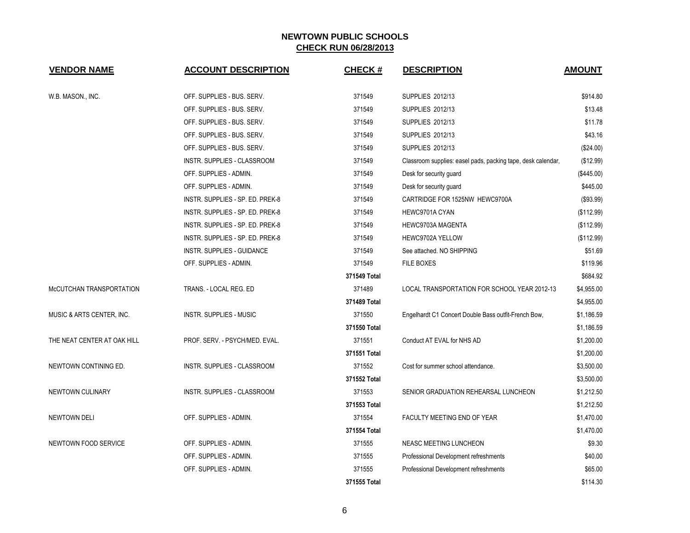| <b>VENDOR NAME</b>          | <b>ACCOUNT DESCRIPTION</b>       | <b>CHECK#</b> | <b>DESCRIPTION</b>                                           | <b>AMOUNT</b> |
|-----------------------------|----------------------------------|---------------|--------------------------------------------------------------|---------------|
| W.B. MASON., INC.           | OFF. SUPPLIES - BUS. SERV.       | 371549        | SUPPLIES 2012/13                                             | \$914.80      |
|                             | OFF. SUPPLIES - BUS. SERV.       | 371549        | SUPPLIES 2012/13                                             | \$13.48       |
|                             | OFF. SUPPLIES - BUS. SERV.       | 371549        | SUPPLIES 2012/13                                             | \$11.78       |
|                             | OFF. SUPPLIES - BUS. SERV.       | 371549        | SUPPLIES 2012/13                                             | \$43.16       |
|                             | OFF. SUPPLIES - BUS. SERV.       | 371549        | <b>SUPPLIES 2012/13</b>                                      | (\$24.00)     |
|                             | INSTR. SUPPLIES - CLASSROOM      | 371549        | Classroom supplies: easel pads, packing tape, desk calendar, | (\$12.99)     |
|                             | OFF. SUPPLIES - ADMIN.           | 371549        | Desk for security guard                                      | (\$445.00)    |
|                             | OFF. SUPPLIES - ADMIN.           | 371549        | Desk for security guard                                      | \$445.00      |
|                             | INSTR. SUPPLIES - SP. ED. PREK-8 | 371549        | CARTRIDGE FOR 1525NW HEWC9700A                               | (\$93.99)     |
|                             | INSTR. SUPPLIES - SP. ED. PREK-8 | 371549        | HEWC9701A CYAN                                               | (\$112.99)    |
|                             | INSTR. SUPPLIES - SP. ED. PREK-8 | 371549        | HEWC9703A MAGENTA                                            | (\$112.99)    |
|                             | INSTR. SUPPLIES - SP. ED. PREK-8 | 371549        | HEWC9702A YELLOW                                             | (\$112.99)    |
|                             | INSTR. SUPPLIES - GUIDANCE       | 371549        | See attached. NO SHIPPING                                    | \$51.69       |
|                             | OFF. SUPPLIES - ADMIN.           | 371549        | FILE BOXES                                                   | \$119.96      |
|                             |                                  | 371549 Total  |                                                              | \$684.92      |
| McCUTCHAN TRANSPORTATION    | TRANS. - LOCAL REG. ED           | 371489        | LOCAL TRANSPORTATION FOR SCHOOL YEAR 2012-13                 | \$4,955.00    |
|                             |                                  | 371489 Total  |                                                              | \$4,955.00    |
| MUSIC & ARTS CENTER, INC.   | <b>INSTR. SUPPLIES - MUSIC</b>   | 371550        | Engelhardt C1 Concert Double Bass outfit-French Bow,         | \$1,186.59    |
|                             |                                  | 371550 Total  |                                                              | \$1,186.59    |
| THE NEAT CENTER AT OAK HILL | PROF. SERV. - PSYCH/MED. EVAL.   | 371551        | Conduct AT EVAL for NHS AD                                   | \$1,200.00    |
|                             |                                  | 371551 Total  |                                                              | \$1,200.00    |
| NEWTOWN CONTINING ED.       | INSTR. SUPPLIES - CLASSROOM      | 371552        | Cost for summer school attendance.                           | \$3,500.00    |
|                             |                                  | 371552 Total  |                                                              | \$3,500.00    |
| NEWTOWN CULINARY            | INSTR. SUPPLIES - CLASSROOM      | 371553        | SENIOR GRADUATION REHEARSAL LUNCHEON                         | \$1,212.50    |
|                             |                                  | 371553 Total  |                                                              | \$1,212.50    |
| <b>NEWTOWN DELI</b>         | OFF. SUPPLIES - ADMIN.           | 371554        | FACULTY MEETING END OF YEAR                                  | \$1,470.00    |
|                             |                                  | 371554 Total  |                                                              | \$1,470.00    |
| NEWTOWN FOOD SERVICE        | OFF. SUPPLIES - ADMIN.           | 371555        | NEASC MEETING LUNCHEON                                       | \$9.30        |
|                             | OFF. SUPPLIES - ADMIN.           | 371555        | Professional Development refreshments                        | \$40.00       |
|                             | OFF. SUPPLIES - ADMIN.           | 371555        | Professional Development refreshments                        | \$65.00       |
|                             |                                  | 371555 Total  |                                                              | \$114.30      |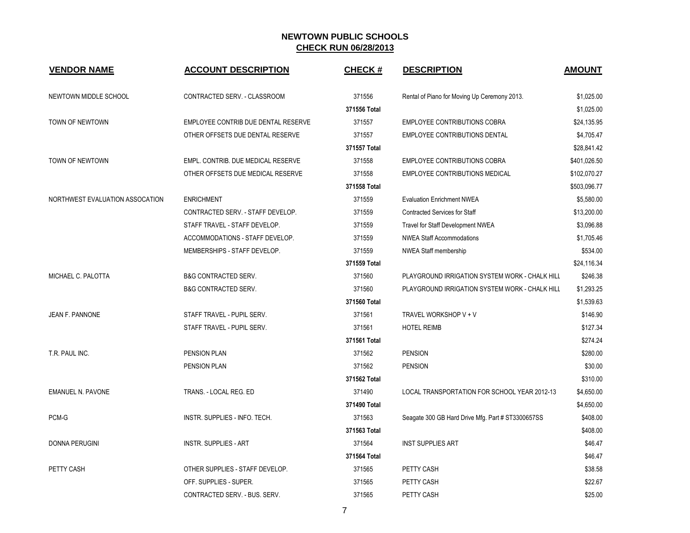| <b>VENDOR NAME</b>              | <b>ACCOUNT DESCRIPTION</b>          | <b>CHECK#</b> | <b>DESCRIPTION</b>                                | <b>AMOUNT</b> |
|---------------------------------|-------------------------------------|---------------|---------------------------------------------------|---------------|
| NEWTOWN MIDDLE SCHOOL           | CONTRACTED SERV. - CLASSROOM        | 371556        | Rental of Piano for Moving Up Ceremony 2013.      | \$1,025.00    |
|                                 |                                     | 371556 Total  |                                                   | \$1,025.00    |
| TOWN OF NEWTOWN                 | EMPLOYEE CONTRIB DUE DENTAL RESERVE | 371557        | <b>EMPLOYEE CONTRIBUTIONS COBRA</b>               | \$24,135.95   |
|                                 | OTHER OFFSETS DUE DENTAL RESERVE    | 371557        | <b>EMPLOYEE CONTRIBUTIONS DENTAL</b>              | \$4,705.47    |
|                                 |                                     | 371557 Total  |                                                   | \$28,841.42   |
| <b>TOWN OF NEWTOWN</b>          | EMPL. CONTRIB. DUE MEDICAL RESERVE  | 371558        | <b>EMPLOYEE CONTRIBUTIONS COBRA</b>               | \$401,026.50  |
|                                 | OTHER OFFSETS DUE MEDICAL RESERVE   | 371558        | <b>EMPLOYEE CONTRIBUTIONS MEDICAL</b>             | \$102,070.27  |
|                                 |                                     | 371558 Total  |                                                   | \$503,096.77  |
| NORTHWEST EVALUATION ASSOCATION | <b>ENRICHMENT</b>                   | 371559        | <b>Evaluation Enrichment NWEA</b>                 | \$5,580.00    |
|                                 | CONTRACTED SERV. - STAFF DEVELOP.   | 371559        | <b>Contracted Services for Staff</b>              | \$13,200.00   |
|                                 | STAFF TRAVEL - STAFF DEVELOP.       | 371559        | Travel for Staff Development NWEA                 | \$3,096.88    |
|                                 | ACCOMMODATIONS - STAFF DEVELOP.     | 371559        | <b>NWEA Staff Accommodations</b>                  | \$1,705.46    |
|                                 | MEMBERSHIPS - STAFF DEVELOP.        | 371559        | <b>NWEA Staff membership</b>                      | \$534.00      |
|                                 |                                     | 371559 Total  |                                                   | \$24,116.34   |
| MICHAEL C. PALOTTA              | <b>B&amp;G CONTRACTED SERV.</b>     | 371560        | PLAYGROUND IRRIGATION SYSTEM WORK - CHALK HILL    | \$246.38      |
|                                 | <b>B&amp;G CONTRACTED SERV.</b>     | 371560        | PLAYGROUND IRRIGATION SYSTEM WORK - CHALK HILL    | \$1,293.25    |
|                                 |                                     | 371560 Total  |                                                   | \$1,539.63    |
| JEAN F. PANNONE                 | STAFF TRAVEL - PUPIL SERV.          | 371561        | TRAVEL WORKSHOP V + V                             | \$146.90      |
|                                 | STAFF TRAVEL - PUPIL SERV.          | 371561        | <b>HOTEL REIMB</b>                                | \$127.34      |
|                                 |                                     | 371561 Total  |                                                   | \$274.24      |
| T.R. PAUL INC.                  | PENSION PLAN                        | 371562        | <b>PENSION</b>                                    | \$280.00      |
|                                 | PENSION PLAN                        | 371562        | <b>PENSION</b>                                    | \$30.00       |
|                                 |                                     | 371562 Total  |                                                   | \$310.00      |
| <b>EMANUEL N. PAVONE</b>        | TRANS. - LOCAL REG. ED              | 371490        | LOCAL TRANSPORTATION FOR SCHOOL YEAR 2012-13      | \$4,650.00    |
|                                 |                                     | 371490 Total  |                                                   | \$4,650.00    |
| PCM-G                           | INSTR. SUPPLIES - INFO. TECH.       | 371563        | Seagate 300 GB Hard Drive Mfg. Part # ST3300657SS | \$408.00      |
|                                 |                                     | 371563 Total  |                                                   | \$408.00      |
| <b>DONNA PERUGINI</b>           | <b>INSTR. SUPPLIES - ART</b>        | 371564        | <b>INST SUPPLIES ART</b>                          | \$46.47       |
|                                 |                                     | 371564 Total  |                                                   | \$46.47       |
| PETTY CASH                      | OTHER SUPPLIES - STAFF DEVELOP.     | 371565        | PETTY CASH                                        | \$38.58       |
|                                 | OFF. SUPPLIES - SUPER.              | 371565        | PETTY CASH                                        | \$22.67       |
|                                 | CONTRACTED SERV. - BUS. SERV.       | 371565        | PETTY CASH                                        | \$25.00       |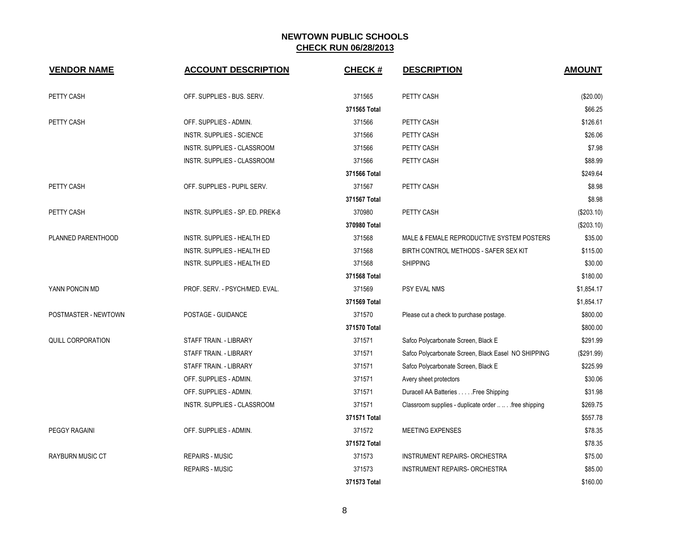| <b>VENDOR NAME</b>       | <b>ACCOUNT DESCRIPTION</b>         | <b>CHECK#</b> | <b>DESCRIPTION</b>                                   | <b>AMOUNT</b> |
|--------------------------|------------------------------------|---------------|------------------------------------------------------|---------------|
| PETTY CASH               | OFF. SUPPLIES - BUS. SERV.         | 371565        | PETTY CASH                                           | (\$20.00)     |
|                          |                                    | 371565 Total  |                                                      | \$66.25       |
| PETTY CASH               | OFF. SUPPLIES - ADMIN.             | 371566        | PETTY CASH                                           | \$126.61      |
|                          | INSTR. SUPPLIES - SCIENCE          | 371566        | PETTY CASH                                           | \$26.06       |
|                          | INSTR. SUPPLIES - CLASSROOM        | 371566        | PETTY CASH                                           | \$7.98        |
|                          | INSTR. SUPPLIES - CLASSROOM        | 371566        | PETTY CASH                                           | \$88.99       |
|                          |                                    | 371566 Total  |                                                      | \$249.64      |
| PETTY CASH               | OFF. SUPPLIES - PUPIL SERV.        | 371567        | PETTY CASH                                           | \$8.98        |
|                          |                                    | 371567 Total  |                                                      | \$8.98        |
| PETTY CASH               | INSTR. SUPPLIES - SP. ED. PREK-8   | 370980        | PETTY CASH                                           | (\$203.10)    |
|                          |                                    | 370980 Total  |                                                      | (\$203.10)    |
| PLANNED PARENTHOOD       | INSTR. SUPPLIES - HEALTH ED        | 371568        | MALE & FEMALE REPRODUCTIVE SYSTEM POSTERS            | \$35.00       |
|                          | INSTR. SUPPLIES - HEALTH ED        | 371568        | BIRTH CONTROL METHODS - SAFER SEX KIT                | \$115.00      |
|                          | <b>INSTR. SUPPLIES - HEALTH ED</b> | 371568        | <b>SHIPPING</b>                                      | \$30.00       |
|                          |                                    | 371568 Total  |                                                      | \$180.00      |
| YANN PONCIN MD           | PROF. SERV. - PSYCH/MED. EVAL.     | 371569        | <b>PSY EVAL NMS</b>                                  | \$1,854.17    |
|                          |                                    | 371569 Total  |                                                      | \$1,854.17    |
| POSTMASTER - NEWTOWN     | POSTAGE - GUIDANCE                 | 371570        | Please cut a check to purchase postage.              | \$800.00      |
|                          |                                    | 371570 Total  |                                                      | \$800.00      |
| <b>QUILL CORPORATION</b> | STAFF TRAIN. - LIBRARY             | 371571        | Safco Polycarbonate Screen, Black E                  | \$291.99      |
|                          | STAFF TRAIN. - LIBRARY             | 371571        | Safco Polycarbonate Screen, Black Easel NO SHIPPING  | (\$291.99)    |
|                          | STAFF TRAIN. - LIBRARY             | 371571        | Safco Polycarbonate Screen, Black E                  | \$225.99      |
|                          | OFF. SUPPLIES - ADMIN.             | 371571        | Avery sheet protectors                               | \$30.06       |
|                          | OFF. SUPPLIES - ADMIN.             | 371571        | Duracell AA Batteries Free Shipping                  | \$31.98       |
|                          | INSTR. SUPPLIES - CLASSROOM        | 371571        | Classroom supplies - duplicate order   free shipping | \$269.75      |
|                          |                                    | 371571 Total  |                                                      | \$557.78      |
| <b>PEGGY RAGAINI</b>     | OFF. SUPPLIES - ADMIN.             | 371572        | <b>MEETING EXPENSES</b>                              | \$78.35       |
|                          |                                    | 371572 Total  |                                                      | \$78.35       |
| RAYBURN MUSIC CT         | <b>REPAIRS - MUSIC</b>             | 371573        | INSTRUMENT REPAIRS- ORCHESTRA                        | \$75.00       |
|                          | <b>REPAIRS - MUSIC</b>             | 371573        | <b>INSTRUMENT REPAIRS- ORCHESTRA</b>                 | \$85.00       |
|                          |                                    | 371573 Total  |                                                      | \$160.00      |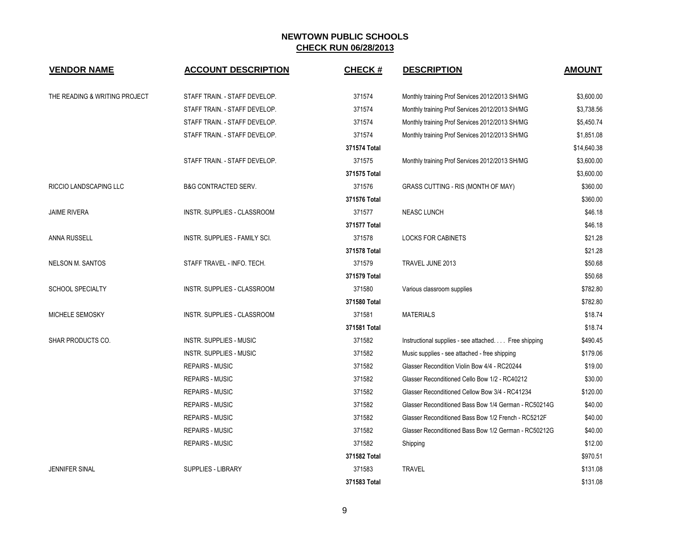| <b>VENDOR NAME</b>            | <b>ACCOUNT DESCRIPTION</b>           | <b>CHECK#</b> | <b>DESCRIPTION</b>                                   | <b>AMOUNT</b> |
|-------------------------------|--------------------------------------|---------------|------------------------------------------------------|---------------|
| THE READING & WRITING PROJECT | STAFF TRAIN. - STAFF DEVELOP.        | 371574        | Monthly training Prof Services 2012/2013 SH/MG       | \$3,600.00    |
|                               | STAFF TRAIN. - STAFF DEVELOP.        | 371574        | Monthly training Prof Services 2012/2013 SH/MG       | \$3,738.56    |
|                               | STAFF TRAIN. - STAFF DEVELOP.        | 371574        | Monthly training Prof Services 2012/2013 SH/MG       | \$5,450.74    |
|                               | STAFF TRAIN. - STAFF DEVELOP.        | 371574        | Monthly training Prof Services 2012/2013 SH/MG       | \$1,851.08    |
|                               |                                      | 371574 Total  |                                                      | \$14,640.38   |
|                               | STAFF TRAIN. - STAFF DEVELOP.        | 371575        | Monthly training Prof Services 2012/2013 SH/MG       | \$3,600.00    |
|                               |                                      | 371575 Total  |                                                      | \$3,600.00    |
| RICCIO LANDSCAPING LLC        | <b>B&amp;G CONTRACTED SERV.</b>      | 371576        | GRASS CUTTING - RIS (MONTH OF MAY)                   | \$360.00      |
|                               |                                      | 371576 Total  |                                                      | \$360.00      |
| <b>JAIME RIVERA</b>           | INSTR. SUPPLIES - CLASSROOM          | 371577        | <b>NEASC LUNCH</b>                                   | \$46.18       |
|                               |                                      | 371577 Total  |                                                      | \$46.18       |
| <b>ANNA RUSSELL</b>           | <b>INSTR. SUPPLIES - FAMILY SCI.</b> | 371578        | <b>LOCKS FOR CABINETS</b>                            | \$21.28       |
|                               |                                      | 371578 Total  |                                                      | \$21.28       |
| <b>NELSON M. SANTOS</b>       | STAFF TRAVEL - INFO. TECH.           | 371579        | TRAVEL JUNE 2013                                     | \$50.68       |
|                               |                                      | 371579 Total  |                                                      | \$50.68       |
| <b>SCHOOL SPECIALTY</b>       | INSTR. SUPPLIES - CLASSROOM          | 371580        | Various classroom supplies                           | \$782.80      |
|                               |                                      | 371580 Total  |                                                      | \$782.80      |
| MICHELE SEMOSKY               | INSTR. SUPPLIES - CLASSROOM          | 371581        | <b>MATERIALS</b>                                     | \$18.74       |
|                               |                                      | 371581 Total  |                                                      | \$18.74       |
| SHAR PRODUCTS CO.             | <b>INSTR. SUPPLIES - MUSIC</b>       | 371582        | Instructional supplies - see attached Free shipping  | \$490.45      |
|                               | <b>INSTR. SUPPLIES - MUSIC</b>       | 371582        | Music supplies - see attached - free shipping        | \$179.06      |
|                               | <b>REPAIRS - MUSIC</b>               | 371582        | Glasser Recondition Violin Bow 4/4 - RC20244         | \$19.00       |
|                               | <b>REPAIRS - MUSIC</b>               | 371582        | Glasser Reconditioned Cello Bow 1/2 - RC40212        | \$30.00       |
|                               | <b>REPAIRS - MUSIC</b>               | 371582        | Glasser Reconditioned Cellow Bow 3/4 - RC41234       | \$120.00      |
|                               | <b>REPAIRS - MUSIC</b>               | 371582        | Glasser Reconditioned Bass Bow 1/4 German - RC50214G | \$40.00       |
|                               | <b>REPAIRS - MUSIC</b>               | 371582        | Glasser Reconditioned Bass Bow 1/2 French - RC5212F  | \$40.00       |
|                               | <b>REPAIRS - MUSIC</b>               | 371582        | Glasser Reconditioned Bass Bow 1/2 German - RC50212G | \$40.00       |
|                               | <b>REPAIRS - MUSIC</b>               | 371582        | Shipping                                             | \$12.00       |
|                               |                                      | 371582 Total  |                                                      | \$970.51      |
| <b>JENNIFER SINAL</b>         | <b>SUPPLIES - LIBRARY</b>            | 371583        | <b>TRAVEL</b>                                        | \$131.08      |
|                               |                                      | 371583 Total  |                                                      | \$131.08      |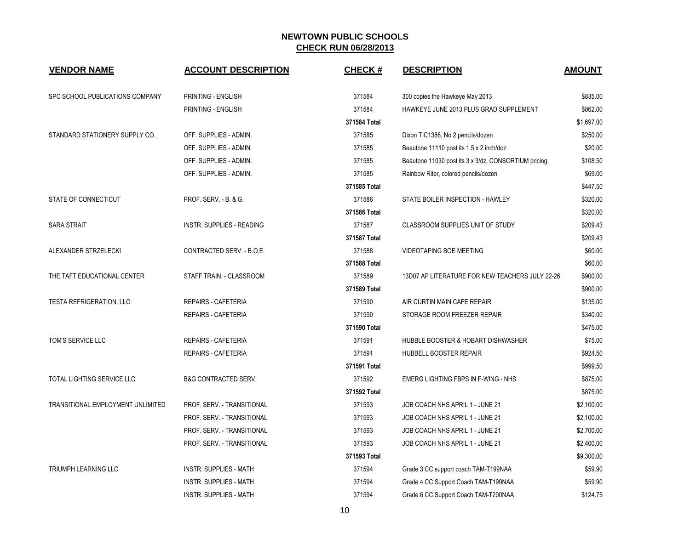| <b>VENDOR NAME</b>                | <b>ACCOUNT DESCRIPTION</b>       | <b>CHECK#</b> | <b>DESCRIPTION</b>                                    | <b>AMOUNT</b> |
|-----------------------------------|----------------------------------|---------------|-------------------------------------------------------|---------------|
| SPC SCHOOL PUBLICATIONS COMPANY   | PRINTING - ENGLISH               | 371584        | 300 copies the Hawkeye May 2013                       | \$835.00      |
|                                   | PRINTING - ENGLISH               | 371584        | HAWKEYE JUNE 2013 PLUS GRAD SUPPLEMENT                | \$862.00      |
|                                   |                                  | 371584 Total  |                                                       | \$1,697.00    |
| STANDARD STATIONERY SUPPLY CO.    | OFF. SUPPLIES - ADMIN.           | 371585        | Dixon TIC1388, No 2 pencils/dozen                     | \$250.00      |
|                                   | OFF. SUPPLIES - ADMIN.           | 371585        | Beautone 11110 post its 1.5 x 2 inch/doz              | \$20.00       |
|                                   | OFF. SUPPLIES - ADMIN.           | 371585        | Beautone 11030 post its 3 x 3/dz, CONSORTIUM pricing, | \$108.50      |
|                                   | OFF. SUPPLIES - ADMIN.           | 371585        | Rainbow Riter, colored pencils/dozen                  | \$69.00       |
|                                   |                                  | 371585 Total  |                                                       | \$447.50      |
| STATE OF CONNECTICUT              | PROF. SERV. - B. & G.            | 371586        | STATE BOILER INSPECTION - HAWLEY                      | \$320.00      |
|                                   |                                  | 371586 Total  |                                                       | \$320.00      |
| <b>SARA STRAIT</b>                | <b>INSTR. SUPPLIES - READING</b> | 371587        | CLASSROOM SUPPLIES UNIT OF STUDY                      | \$209.43      |
|                                   |                                  | 371587 Total  |                                                       | \$209.43      |
| ALEXANDER STRZELECKI              | CONTRACTED SERV. - B.O.E.        | 371588        | <b>VIDEOTAPING BOE MEETING</b>                        | \$60.00       |
|                                   |                                  | 371588 Total  |                                                       | \$60.00       |
| THE TAFT EDUCATIONAL CENTER       | STAFF TRAIN. - CLASSROOM         | 371589        | 13D07 AP LITERATURE FOR NEW TEACHERS JULY 22-26       | \$900.00      |
|                                   |                                  | 371589 Total  |                                                       | \$900.00      |
| TESTA REFRIGERATION, LLC          | <b>REPAIRS - CAFETERIA</b>       | 371590        | AIR CURTIN MAIN CAFE REPAIR                           | \$135.00      |
|                                   | <b>REPAIRS - CAFETERIA</b>       | 371590        | STORAGE ROOM FREEZER REPAIR                           | \$340.00      |
|                                   |                                  | 371590 Total  |                                                       | \$475.00      |
| TOM'S SERVICE LLC                 | <b>REPAIRS - CAFETERIA</b>       | 371591        | HUBBLE BOOSTER & HOBART DISHWASHER                    | \$75.00       |
|                                   | <b>REPAIRS - CAFETERIA</b>       | 371591        | HUBBELL BOOSTER REPAIR                                | \$924.50      |
|                                   |                                  | 371591 Total  |                                                       | \$999.50      |
| <b>TOTAL LIGHTING SERVICE LLC</b> | <b>B&amp;G CONTRACTED SERV.</b>  | 371592        | EMERG LIGHTING FBPS IN F-WING - NHS                   | \$875.00      |
|                                   |                                  | 371592 Total  |                                                       | \$875.00      |
| TRANSITIONAL EMPLOYMENT UNLIMITED | PROF. SERV. - TRANSITIONAL       | 371593        | JOB COACH NHS APRIL 1 - JUNE 21                       | \$2,100.00    |
|                                   | PROF. SERV. - TRANSITIONAL       | 371593        | JOB COACH NHS APRIL 1 - JUNE 21                       | \$2,100.00    |
|                                   | PROF. SERV. - TRANSITIONAL       | 371593        | JOB COACH NHS APRIL 1 - JUNE 21                       | \$2,700.00    |
|                                   | PROF. SERV. - TRANSITIONAL       | 371593        | JOB COACH NHS APRIL 1 - JUNE 21                       | \$2,400.00    |
|                                   |                                  | 371593 Total  |                                                       | \$9,300.00    |
| <b>TRIUMPH LEARNING LLC</b>       | <b>INSTR. SUPPLIES - MATH</b>    | 371594        | Grade 3 CC support coach TAM-T199NAA                  | \$59.90       |
|                                   | <b>INSTR. SUPPLIES - MATH</b>    | 371594        | Grade 4 CC Support Coach TAM-T199NAA                  | \$59.90       |
|                                   | INSTR. SUPPLIES - MATH           | 371594        | Grade 6 CC Support Coach TAM-T200NAA                  | \$124.75      |